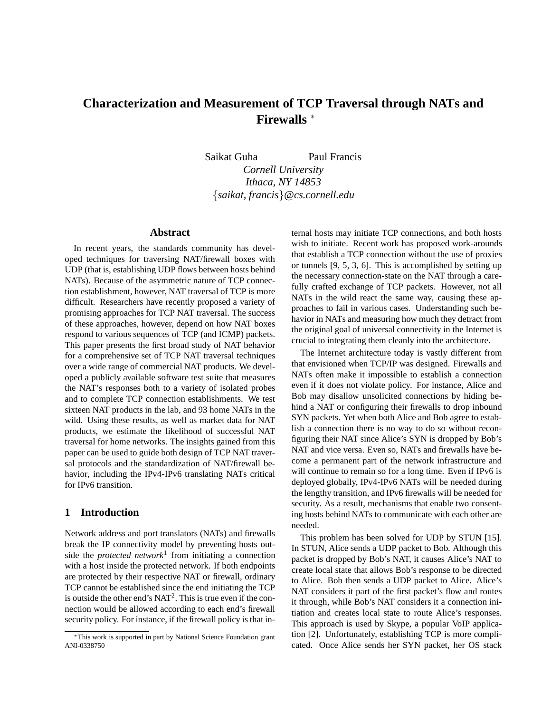# **Characterization and Measurement of TCP Traversal through NATs and Firewalls** <sup>∗</sup>

Saikat Guha Paul Francis *Cornell University Ithaca, NY 14853* {*saikat, francis*}*@cs.cornell.edu*

# **Abstract**

In recent years, the standards community has developed techniques for traversing NAT/firewall boxes with UDP (that is, establishing UDP flows between hosts behind NATs). Because of the asymmetric nature of TCP connection establishment, however, NAT traversal of TCP is more difficult. Researchers have recently proposed a variety of promising approaches for TCP NAT traversal. The success of these approaches, however, depend on how NAT boxes respond to various sequences of TCP (and ICMP) packets. This paper presents the first broad study of NAT behavior for a comprehensive set of TCP NAT traversal techniques over a wide range of commercial NAT products. We developed a publicly available software test suite that measures the NAT's responses both to a variety of isolated probes and to complete TCP connection establishments. We test sixteen NAT products in the lab, and 93 home NATs in the wild. Using these results, as well as market data for NAT products, we estimate the likelihood of successful NAT traversal for home networks. The insights gained from this paper can be used to guide both design of TCP NAT traversal protocols and the standardization of NAT/firewall behavior, including the IPv4-IPv6 translating NATs critical for IPv6 transition.

### **1 Introduction**

Network address and port translators (NATs) and firewalls break the IP connectivity model by preventing hosts outside the *protected network*<sup>1</sup> from initiating a connection with a host inside the protected network. If both endpoints are protected by their respective NAT or firewall, ordinary TCP cannot be established since the end initiating the TCP is outside the other end's  $NAT^2$ . This is true even if the connection would be allowed according to each end's firewall security policy. For instance, if the firewall policy is that in-

ternal hosts may initiate TCP connections, and both hosts wish to initiate. Recent work has proposed work-arounds that establish a TCP connection without the use of proxies or tunnels [9, 5, 3, 6]. This is accomplished by setting up the necessary connection-state on the NAT through a carefully crafted exchange of TCP packets. However, not all NATs in the wild react the same way, causing these approaches to fail in various cases. Understanding such behavior in NATs and measuring how much they detract from the original goal of universal connectivity in the Internet is crucial to integrating them cleanly into the architecture.

The Internet architecture today is vastly different from that envisioned when TCP/IP was designed. Firewalls and NATs often make it impossible to establish a connection even if it does not violate policy. For instance, Alice and Bob may disallow unsolicited connections by hiding behind a NAT or configuring their firewalls to drop inbound SYN packets. Yet when both Alice and Bob agree to establish a connection there is no way to do so without reconfiguring their NAT since Alice's SYN is dropped by Bob's NAT and vice versa. Even so, NATs and firewalls have become a permanent part of the network infrastructure and will continue to remain so for a long time. Even if IPv6 is deployed globally, IPv4-IPv6 NATs will be needed during the lengthy transition, and IPv6 firewalls will be needed for security. As a result, mechanisms that enable two consenting hosts behind NATs to communicate with each other are needed.

This problem has been solved for UDP by STUN [15]. In STUN, Alice sends a UDP packet to Bob. Although this packet is dropped by Bob's NAT, it causes Alice's NAT to create local state that allows Bob's response to be directed to Alice. Bob then sends a UDP packet to Alice. Alice's NAT considers it part of the first packet's flow and routes it through, while Bob's NAT considers it a connection initiation and creates local state to route Alice's responses. This approach is used by Skype, a popular VoIP application [2]. Unfortunately, establishing TCP is more complicated. Once Alice sends her SYN packet, her OS stack

<sup>∗</sup>This work is supported in part by National Science Foundation grant ANI-0338750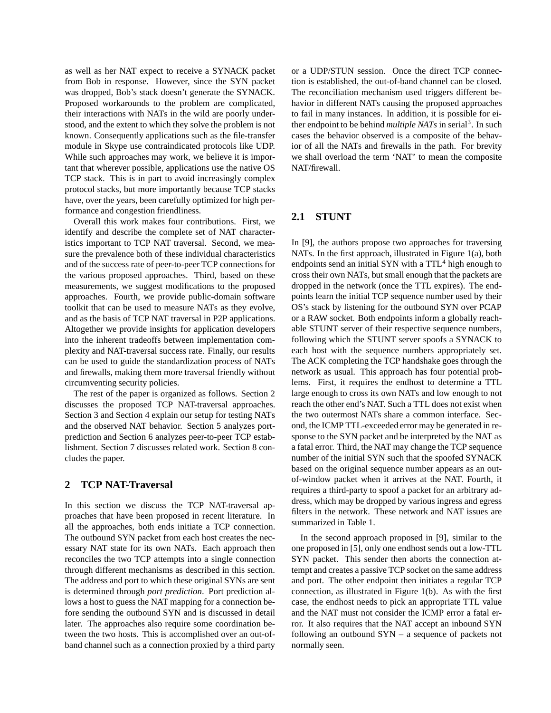as well as her NAT expect to receive a SYNACK packet from Bob in response. However, since the SYN packet was dropped, Bob's stack doesn't generate the SYNACK. Proposed workarounds to the problem are complicated, their interactions with NATs in the wild are poorly understood, and the extent to which they solve the problem is not known. Consequently applications such as the file-transfer module in Skype use contraindicated protocols like UDP. While such approaches may work, we believe it is important that wherever possible, applications use the native OS TCP stack. This is in part to avoid increasingly complex protocol stacks, but more importantly because TCP stacks have, over the years, been carefully optimized for high performance and congestion friendliness.

Overall this work makes four contributions. First, we identify and describe the complete set of NAT characteristics important to TCP NAT traversal. Second, we measure the prevalence both of these individual characteristics and of the success rate of peer-to-peer TCP connections for the various proposed approaches. Third, based on these measurements, we suggest modifications to the proposed approaches. Fourth, we provide public-domain software toolkit that can be used to measure NATs as they evolve, and as the basis of TCP NAT traversal in P2P applications. Altogether we provide insights for application developers into the inherent tradeoffs between implementation complexity and NAT-traversal success rate. Finally, our results can be used to guide the standardization process of NATs and firewalls, making them more traversal friendly without circumventing security policies.

The rest of the paper is organized as follows. Section 2 discusses the proposed TCP NAT-traversal approaches. Section 3 and Section 4 explain our setup for testing NATs and the observed NAT behavior. Section 5 analyzes portprediction and Section 6 analyzes peer-to-peer TCP establishment. Section 7 discusses related work. Section 8 concludes the paper.

# **2 TCP NAT-Traversal**

In this section we discuss the TCP NAT-traversal approaches that have been proposed in recent literature. In all the approaches, both ends initiate a TCP connection. The outbound SYN packet from each host creates the necessary NAT state for its own NATs. Each approach then reconciles the two TCP attempts into a single connection through different mechanisms as described in this section. The address and port to which these original SYNs are sent is determined through *port prediction*. Port prediction allows a host to guess the NAT mapping for a connection before sending the outbound SYN and is discussed in detail later. The approaches also require some coordination between the two hosts. This is accomplished over an out-ofband channel such as a connection proxied by a third party or a UDP/STUN session. Once the direct TCP connection is established, the out-of-band channel can be closed. The reconciliation mechanism used triggers different behavior in different NATs causing the proposed approaches to fail in many instances. In addition, it is possible for either endpoint to be behind *multiple NATs* in serial<sup>3</sup>. In such cases the behavior observed is a composite of the behavior of all the NATs and firewalls in the path. For brevity we shall overload the term 'NAT' to mean the composite NAT/firewall.

### **2.1 STUNT**

In [9], the authors propose two approaches for traversing NATs. In the first approach, illustrated in Figure 1(a), both endpoints send an initial SYN with a  $TTL<sup>4</sup>$  high enough to cross their own NATs, but small enough that the packets are dropped in the network (once the TTL expires). The endpoints learn the initial TCP sequence number used by their OS's stack by listening for the outbound SYN over PCAP or a RAW socket. Both endpoints inform a globally reachable STUNT server of their respective sequence numbers, following which the STUNT server spoofs a SYNACK to each host with the sequence numbers appropriately set. The ACK completing the TCP handshake goes through the network as usual. This approach has four potential problems. First, it requires the endhost to determine a TTL large enough to cross its own NATs and low enough to not reach the other end's NAT. Such a TTL does not exist when the two outermost NATs share a common interface. Second, the ICMP TTL-exceeded error may be generated in response to the SYN packet and be interpreted by the NAT as a fatal error. Third, the NAT may change the TCP sequence number of the initial SYN such that the spoofed SYNACK based on the original sequence number appears as an outof-window packet when it arrives at the NAT. Fourth, it requires a third-party to spoof a packet for an arbitrary address, which may be dropped by various ingress and egress filters in the network. These network and NAT issues are summarized in Table 1.

In the second approach proposed in [9], similar to the one proposed in [5], only one endhost sends out a low-TTL SYN packet. This sender then aborts the connection attempt and creates a passive TCP socket on the same address and port. The other endpoint then initiates a regular TCP connection, as illustrated in Figure 1(b). As with the first case, the endhost needs to pick an appropriate TTL value and the NAT must not consider the ICMP error a fatal error. It also requires that the NAT accept an inbound SYN following an outbound SYN – a sequence of packets not normally seen.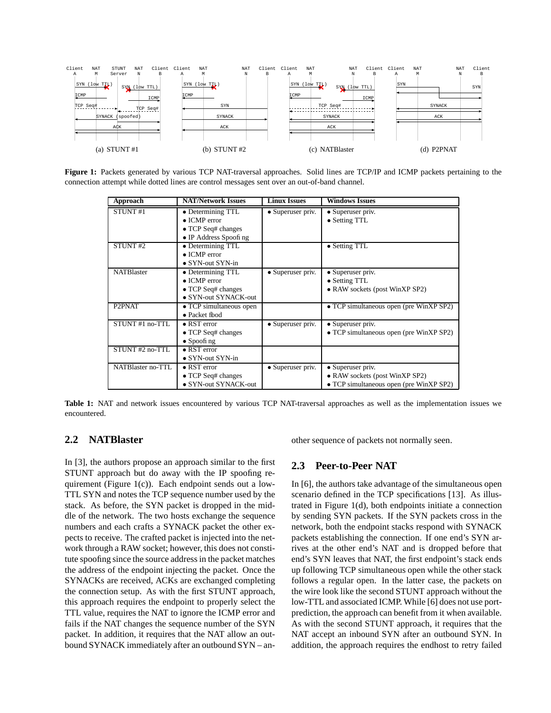

**Figure 1:** Packets generated by various TCP NAT-traversal approaches. Solid lines are TCP/IP and ICMP packets pertaining to the connection attempt while dotted lines are control messages sent over an out-of-band channel.

| Approach            | <b>NAT/Network Issues</b>                                                                       | <b>Linux Issues</b> | <b>Windows Issues</b>                                                                          |
|---------------------|-------------------------------------------------------------------------------------------------|---------------------|------------------------------------------------------------------------------------------------|
| STUNT <sub>#1</sub> | • Determining TTL<br>$\bullet$ ICMP error<br>$\bullet$ TCP Seq# changes                         | • Superuser priv.   | • Superuser priv.<br>• Setting TTL                                                             |
| STUNT <sub>#2</sub> | • IP Address Spoofing<br>• Determining TTL                                                      |                     | • Setting TTL                                                                                  |
|                     | $\bullet$ ICMP error<br>$\bullet$ SYN-out SYN-in                                                |                     |                                                                                                |
| <b>NATBlaster</b>   | • Determining TTL<br>$\bullet$ ICMP error<br>$\bullet$ TCP Seq# changes<br>• SYN-out SYNACK-out | • Superuser priv.   | • Superuser priv.<br>• Setting TTL<br>• RAW sockets (post WinXP SP2)                           |
| P <sub>2</sub> PNAT | • TCP simultaneous open<br>$\bullet$ Packet fbod                                                |                     | • TCP simultaneous open (pre WinXP SP2)                                                        |
| STUNT#1 no-TTL      | $\bullet$ RST error<br>$\bullet$ TCP Seq# changes<br>$\bullet$ Spoofing                         | • Superuser priv.   | • Superuser priv.<br>• TCP simultaneous open (pre WinXP SP2)                                   |
| STUNT #2 no-TTL     | $\bullet$ RST error<br>$\bullet$ SYN-out SYN-in                                                 |                     |                                                                                                |
| NATBlaster no-TTL   | $\bullet$ RST error<br>$\bullet$ TCP Seq# changes<br>• SYN-out SYNACK-out                       | • Superuser priv.   | • Superuser priv.<br>• RAW sockets (post WinXP SP2)<br>• TCP simultaneous open (pre WinXP SP2) |

**Table 1:** NAT and network issues encountered by various TCP NAT-traversal approaches as well as the implementation issues we encountered.

# **2.2 NATBlaster**

In [3], the authors propose an approach similar to the first STUNT approach but do away with the IP spoofing requirement (Figure 1(c)). Each endpoint sends out a low-TTL SYN and notes the TCP sequence number used by the stack. As before, the SYN packet is dropped in the middle of the network. The two hosts exchange the sequence numbers and each crafts a SYNACK packet the other expects to receive. The crafted packet is injected into the network through a RAW socket; however, this does not constitute spoofing since the source address in the packet matches the address of the endpoint injecting the packet. Once the SYNACKs are received, ACKs are exchanged completing the connection setup. As with the first STUNT approach, this approach requires the endpoint to properly select the TTL value, requires the NAT to ignore the ICMP error and fails if the NAT changes the sequence number of the SYN packet. In addition, it requires that the NAT allow an outbound SYNACK immediately after an outbound SYN – another sequence of packets not normally seen.

# **2.3 Peer-to-Peer NAT**

In [6], the authors take advantage of the simultaneous open scenario defined in the TCP specifications [13]. As illustrated in Figure 1(d), both endpoints initiate a connection by sending SYN packets. If the SYN packets cross in the network, both the endpoint stacks respond with SYNACK packets establishing the connection. If one end's SYN arrives at the other end's NAT and is dropped before that end's SYN leaves that NAT, the first endpoint's stack ends up following TCP simultaneous open while the other stack follows a regular open. In the latter case, the packets on the wire look like the second STUNT approach without the low-TTL and associated ICMP. While [6] does not use portprediction, the approach can benefit from it when available. As with the second STUNT approach, it requires that the NAT accept an inbound SYN after an outbound SYN. In addition, the approach requires the endhost to retry failed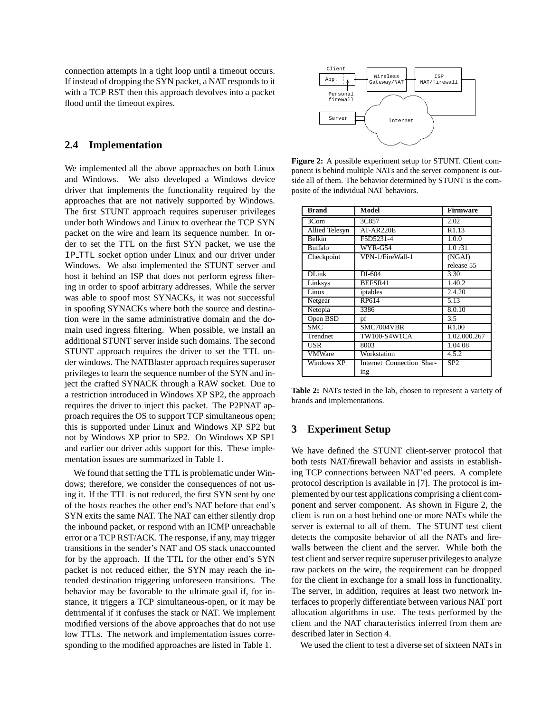connection attempts in a tight loop until a timeout occurs. If instead of dropping the SYN packet, a NAT respondsto it with a TCP RST then this approach devolves into a packet flood until the timeout expires.

### **2.4 Implementation**

We implemented all the above approaches on both Linux and Windows. We also developed a Windows device driver that implements the functionality required by the approaches that are not natively supported by Windows. The first STUNT approach requires superuser privileges under both Windows and Linux to overhear the TCP SYN packet on the wire and learn its sequence number. In order to set the TTL on the first SYN packet, we use the IP TTL socket option under Linux and our driver under Windows. We also implemented the STUNT server and host it behind an ISP that does not perform egress filtering in order to spoof arbitrary addresses. While the server was able to spoof most SYNACKs, it was not successful in spoofing SYNACKs where both the source and destination were in the same administrative domain and the domain used ingress filtering. When possible, we install an additional STUNT server inside such domains. The second STUNT approach requires the driver to set the TTL under windows. The NATBlaster approach requires superuser privileges to learn the sequence number of the SYN and inject the crafted SYNACK through a RAW socket. Due to a restriction introduced in Windows XP SP2, the approach requires the driver to inject this packet. The P2PNAT approach requires the OS to support TCP simultaneous open; this is supported under Linux and Windows XP SP2 but not by Windows XP prior to SP2. On Windows XP SP1 and earlier our driver adds support for this. These implementation issues are summarized in Table 1.

We found that setting the TTL is problematic under Windows; therefore, we consider the consequences of not using it. If the TTL is not reduced, the first SYN sent by one of the hosts reaches the other end's NAT before that end's SYN exits the same NAT. The NAT can either silently drop the inbound packet, or respond with an ICMP unreachable error or a TCP RST/ACK. The response, if any, may trigger transitions in the sender's NAT and OS stack unaccounted for by the approach. If the TTL for the other end's SYN packet is not reduced either, the SYN may reach the intended destination triggering unforeseen transitions. The behavior may be favorable to the ultimate goal if, for instance, it triggers a TCP simultaneous-open, or it may be detrimental if it confuses the stack or NAT. We implement modified versions of the above approaches that do not use low TTLs. The network and implementation issues corresponding to the modified approaches are listed in Table 1.



**Figure 2:** A possible experiment setup for STUNT. Client component is behind multiple NATs and the server component is outside all of them. The behavior determined by STUNT is the composite of the individual NAT behaviors.

| <b>Brand</b>          | Model                     | <b>Firmware</b> |
|-----------------------|---------------------------|-----------------|
| 3Com                  | 3C857                     | 2.02            |
| <b>Allied Telesyn</b> | AT-AR220E                 | R1.13           |
| <b>Belkin</b>         | F5D5231-4                 | 1.0.0           |
| <b>Buffalo</b>        | WYR-G54                   | 1.0r31          |
| Checkpoint            | VPN-1/FireWall-1          | (NGAI)          |
|                       |                           | release 55      |
| $DI$ .ink             | DI-604                    | 3.30            |
| Linksys               | BEFSR41                   | 1.40.2          |
| Linux                 | iptables                  | 2.4.20          |
| Netgear               | RP614                     | 5.13            |
| Netopia               | 3386                      | 8.0.10          |
| Open BSD              | pf                        | 3.5             |
| <b>SMC</b>            | SMC7004VBR                | R1.00           |
| Trendnet              | TW100-S4W1CA              | 1.02.000.267    |
| USR                   | 8003                      | 1.04 08         |
| VMWare                | Workstation               | 4.5.2           |
| Windows XP            | Internet Connection Shar- | SP <sub>2</sub> |
|                       | ing                       |                 |

**Table 2:** NATs tested in the lab, chosen to represent a variety of brands and implementations.

### **3 Experiment Setup**

We have defined the STUNT client-server protocol that both tests NAT/firewall behavior and assists in establishing TCP connections between NAT'ed peers. A complete protocol description is available in [7]. The protocol is implemented by our test applications comprising a client component and server component. As shown in Figure 2, the client is run on a host behind one or more NATs while the server is external to all of them. The STUNT test client detects the composite behavior of all the NATs and firewalls between the client and the server. While both the test client and server require superuser privileges to analyze raw packets on the wire, the requirement can be dropped for the client in exchange for a small loss in functionality. The server, in addition, requires at least two network interfaces to properly differentiate between various NAT port allocation algorithms in use. The tests performed by the client and the NAT characteristics inferred from them are described later in Section 4.

We used the client to test a diverse set of sixteen NATs in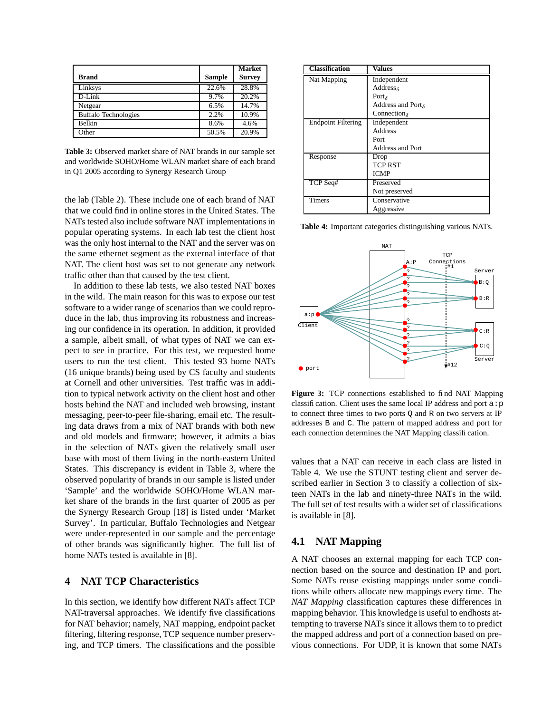| <b>Brand</b>                | <b>Sample</b> | <b>Market</b><br><b>Survey</b> |
|-----------------------------|---------------|--------------------------------|
| Linksys                     | 22.6%         | 28.8%                          |
| $D-I$ .ink                  | 9.7%          | 20.2%                          |
| Netgear                     | 6.5%          | 14.7%                          |
| <b>Buffalo Technologies</b> | 2.2%          | 10.9%                          |
| <b>Belkin</b>               | 8.6%          | 4.6%                           |
| Other                       | 50.5%         | 20.9%                          |

**Table 3:** Observed market share of NAT brands in our sample set and worldwide SOHO/Home WLAN market share of each brand in Q1 2005 according to Synergy Research Group

the lab (Table 2). These include one of each brand of NAT that we could find in online stores in the United States. The NATs tested also include software NAT implementationsin popular operating systems. In each lab test the client host was the only host internal to the NAT and the server was on the same ethernet segment as the external interface of that NAT. The client host was set to not generate any network traffic other than that caused by the test client.

In addition to these lab tests, we also tested NAT boxes in the wild. The main reason for this was to expose our test software to a wider range of scenarios than we could reproduce in the lab, thus improving its robustness and increasing our confidence in its operation. In addition, it provided a sample, albeit small, of what types of NAT we can expect to see in practice. For this test, we requested home users to run the test client. This tested 93 home NATs (16 unique brands) being used by CS faculty and students at Cornell and other universities. Test traffic was in addition to typical network activity on the client host and other hosts behind the NAT and included web browsing, instant messaging, peer-to-peer file-sharing, email etc. The resulting data draws from a mix of NAT brands with both new and old models and firmware; however, it admits a bias in the selection of NATs given the relatively small user base with most of them living in the north-eastern United States. This discrepancy is evident in Table 3, where the observed popularity of brands in our sample is listed under 'Sample' and the worldwide SOHO/Home WLAN market share of the brands in the first quarter of 2005 as per the Synergy Research Group [18] is listed under 'Market Survey'. In particular, Buffalo Technologies and Netgear were under-represented in our sample and the percentage of other brands was significantly higher. The full list of home NATs tested is available in [8].

# **4 NAT TCP Characteristics**

In this section, we identify how different NATs affect TCP NAT-traversal approaches. We identify five classifications for NAT behavior; namely, NAT mapping, endpoint packet filtering, filtering response, TCP sequence number preserving, and TCP timers. The classifications and the possible

| <b>Classification</b>     | <b>Values</b>                             |
|---------------------------|-------------------------------------------|
| Nat Mapping               | Independent                               |
|                           | Addresss                                  |
|                           | Port <sub><math>\delta</math></sub>       |
|                           | Address and Port $_{\delta}$              |
|                           | Connection <sub><math>\delta</math></sub> |
| <b>Endpoint Filtering</b> | Independent                               |
|                           | Address                                   |
|                           | Port                                      |
|                           | <b>Address and Port</b>                   |
| Response                  | Drop                                      |
|                           | <b>TCP RST</b>                            |
|                           | <b>ICMP</b>                               |
| TCP Seq#                  | Preserved                                 |
|                           | Not preserved                             |
| Timers                    | Conservative                              |
|                           | Aggressive                                |

**Table 4:** Important categories distinguishing various NATs.



**Figure 3:** TCP connections established to find NAT Mapping classification. Client uses the same local IP address and port  $a : p$ to connect three times to two ports Q and R on two servers at IP addresses B and C. The pattern of mapped address and port for each connection determines the NAT Mapping classification.

values that a NAT can receive in each class are listed in Table 4. We use the STUNT testing client and server described earlier in Section 3 to classify a collection of sixteen NATs in the lab and ninety-three NATs in the wild. The full set of test results with a wider set of classifications is available in [8].

# **4.1 NAT Mapping**

A NAT chooses an external mapping for each TCP connection based on the source and destination IP and port. Some NATs reuse existing mappings under some conditions while others allocate new mappings every time. The *NAT Mapping* classification captures these differences in mapping behavior. This knowledge is useful to endhosts attempting to traverse NATs since it allows them to to predict the mapped address and port of a connection based on previous connections. For UDP, it is known that some NATs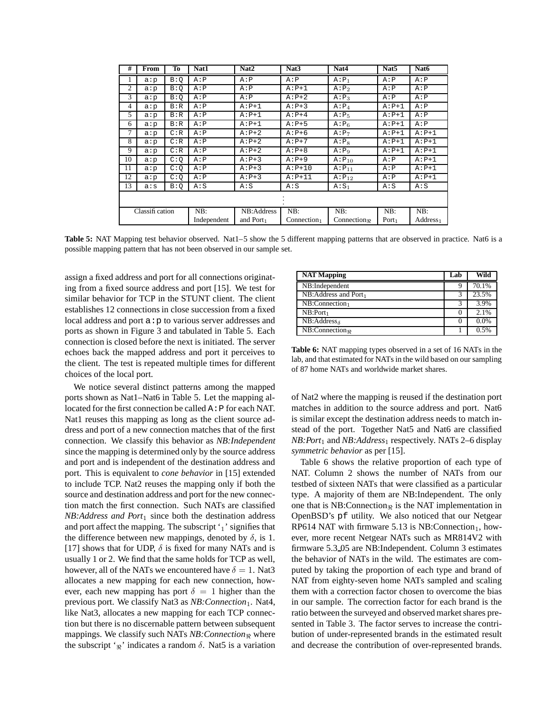| #              | From | To  | Nat1        | Nat <sub>2</sub>      | Nat <sub>3</sub>        | Nat4              | Nat <sub>5</sub>  | Nat6                 |
|----------------|------|-----|-------------|-----------------------|-------------------------|-------------------|-------------------|----------------------|
|                | a:p  | B:O | A : P       | A : P                 | A : P                   | $A: P_1$          | A : P             | A : P                |
| 2              | a:p  | B:Q | A : P       | A : P                 | $A: P+1$                | A: P <sub>2</sub> | A : P             | A : P                |
| 3              | a:p  | B:O | A : P       | A : P                 | $A: P+2$                | $A: P_3$          | A : P             | A : P                |
| 4              | a:p  | B:R | A : P       | $A: P+1$              | $A: P+3$                | $A: P_4$          | $A: P+1$          | A : P                |
| 5              | a:p  | B:R | A : P       | $A: P+1$              | $A: P+4$                | A:P <sub>5</sub>  | $A: P+1$          | A : P                |
| 6              | a:p  | B:R | A : P       | $A: P+1$              | $A: P + 5$              | $A: P_6$          | $A: P+1$          | A : P                |
| 7              | a:p  | C:R | A : P       | $A: P+2$              | $A: P+6$                | A: P <sub>7</sub> | $A: P+1$          | $A: P+1$             |
| 8              | a:p  | C:R | A : P       | $A: P+2$              | $A: P+7$                | A:Ps              | $A: P+1$          | $A: P+1$             |
| 9              | a:p  | C:R | A : P       | $A: P+2$              | $A: P + 8$              | A:Pa              | $A: P+1$          | $A: P+1$             |
| 10             | a:p  | C:Q | A : P       | $A: P+3$              | $A: P+9$                | $A: P_{10}$       | A : P             | $A: P+1$             |
| 11             | a:p  | C:Q | A : P       | $A: P+3$              | $A: P+10$               | $A: P_{11}$       | A : P             | $A: P+1$             |
| 12             | a:p  | C:Q | A : P       | $A: P+3$              | $A: P+11$               | $A: P_{12}$       | A : P             | $A: P+1$             |
| 13             | a: s | B:Q | A: S        | A: S                  | A: S                    | $A: S_1$          | A: S              | A: S                 |
|                |      |     |             |                       |                         |                   |                   |                      |
| Classification |      | NB: | NB:Address  | NB:                   | NB:                     | NB:               | NB:               |                      |
|                |      |     | Independent | and Port <sub>1</sub> | Connection <sub>1</sub> | Connection        | Port <sub>1</sub> | Address <sub>1</sub> |

**Table 5:** NAT Mapping test behavior observed. Nat1–5 show the 5 different mapping patterns that are observed in practice. Nat6 is a possible mapping pattern that has not been observed in our sample set.

assign a fixed address and port for all connections originating from a fixed source address and port [15]. We test for similar behavior for TCP in the STUNT client. The client establishes 12 connections in close succession from a fixed local address and port  $a : p$  to various server addresses and ports as shown in Figure 3 and tabulated in Table 5. Each connection is closed before the next is initiated. The server echoes back the mapped address and port it perceives to the client. The test is repeated multiple times for different choices of the local port.

We notice several distinct patterns among the mapped ports shown as Nat1–Nat6 in Table 5. Let the mapping allocated for the first connection be called  $A : P$  for each NAT. Nat1 reuses this mapping as long as the client source address and port of a new connection matches that of the first connection. We classify this behavior as *NB:Independent* since the mapping is determined only by the source address and port and is independent of the destination address and port. This is equivalent to *cone behavior* in [15] extended to include TCP. Nat2 reuses the mapping only if both the source and destination address and port for the new connection match the first connection. Such NATs are classified *NB:Address and Port<sub>1</sub>* since both the destination address and port affect the mapping. The subscript  $i_1$ ' signifies that the difference between new mappings, denoted by  $\delta$ , is 1. [17] shows that for UDP,  $\delta$  is fixed for many NATs and is usually 1 or 2. We find that the same holds for TCP as well, however, all of the NATs we encountered have  $\delta = 1$ . Nat3 allocates a new mapping for each new connection, however, each new mapping has port  $\delta = 1$  higher than the previous port. We classify Nat3 as *NB: Connection*<sub>1</sub>. Nat4, like Nat3, allocates a new mapping for each TCP connection but there is no discernable pattern between subsequent mappings. We classify such NATs *NB:Connection*<sup>&</sup>lt; where the subscript '<sub> $\Re$ </sub>' indicates a random  $\delta$ . Nat5 is a variation

| <b>NAT Mapping</b>                            | Lab | Wild  |
|-----------------------------------------------|-----|-------|
| NB:Independent                                |     | 70.1% |
| NB:Address and Port <sub>1</sub>              |     | 23.5% |
| $NB:Connection_1$                             | ς   | 3.9%  |
| $NB:Port_1$                                   |     | 2.1%  |
| $\overline{\text{NB}}$ : Address <sub>δ</sub> |     | 0.0%  |
| NB:Connection <sub>n</sub>                    |     | 0.5%  |

**Table 6:** NAT mapping types observed in a set of 16 NATs in the lab, and that estimated for NATs in the wild based on our sampling of 87 home NATs and worldwide market shares.

of Nat2 where the mapping is reused if the destination port matches in addition to the source address and port. Nat6 is similar except the destination address needs to match instead of the port. Together Nat5 and Nat6 are classified *NB:Port*<sup>1</sup> and *NB:Address*<sup>1</sup> respectively. NATs 2–6 display *symmetric behavior* as per [15].

Table 6 shows the relative proportion of each type of NAT. Column 2 shows the number of NATs from our testbed of sixteen NATs that were classified as a particular type. A majority of them are NB:Independent. The only one that is NB:Connection $\Re$  is the NAT implementation in OpenBSD's pf utility. We also noticed that our Netgear RP614 NAT with firmware 5.13 is NB: Connection<sub>1</sub>, however, more recent Netgear NATs such as MR814V2 with firmware 5.3 05 are NB:Independent. Column 3 estimates the behavior of NATs in the wild. The estimates are computed by taking the proportion of each type and brand of NAT from eighty-seven home NATs sampled and scaling them with a correction factor chosen to overcome the bias in our sample. The correction factor for each brand is the ratio between the surveyed and observed market shares presented in Table 3. The factor serves to increase the contribution of under-represented brands in the estimated result and decrease the contribution of over-represented brands.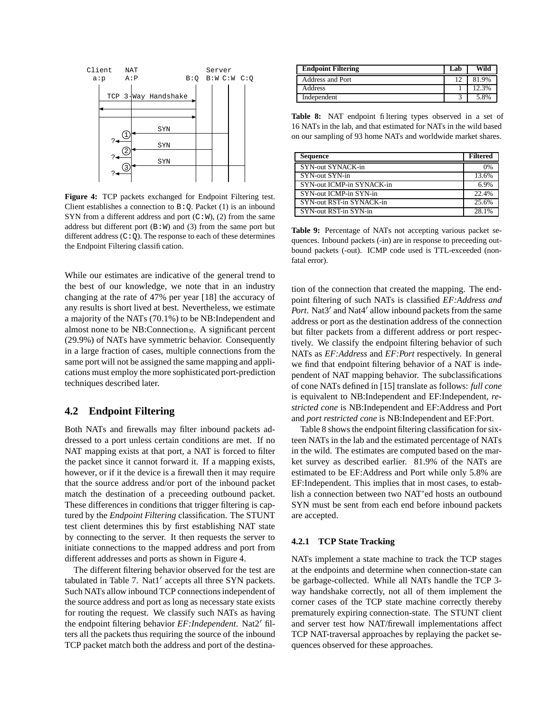

**Figure 4:** TCP packets exchanged for Endpoint Filtering test. Client establishes a connection to  $B:Q$ . Packet (1) is an inbound SYN from a different address and port  $(C:W)$ ,  $(2)$  from the same address but different port  $(B:W)$  and  $(3)$  from the same port but different address  $(C:Q)$ . The response to each of these determines the Endpoint Filtering classification.

While our estimates are indicative of the general trend to the best of our knowledge, we note that in an industry changing at the rate of 47% per year [18] the accuracy of any results is short lived at best. Nevertheless, we estimate a majority of the NATs (70.1%) to be NB:Independent and almost none to be NB:Connection<sub> $\Re$ </sub>. A significant percent (29.9%) of NATs have symmetric behavior. Consequently in a large fraction of cases, multiple connections from the same port will not be assigned the same mapping and applications must employ the more sophisticated port-prediction techniques described later.

# **4.2 Endpoint Filtering**

Both NATs and firewalls may filter inbound packets addressed to a port unless certain conditions are met. If no NAT mapping exists at that port, a NAT is forced to filter the packet since it cannot forward it. If a mapping exists, however, or if it the device is a firewall then it may require that the source address and/or port of the inbound packet match the destination of a preceeding outbound packet. These differences in conditions that trigger filtering is captured by the *Endpoint Filtering* classification. The STUNT test client determines this by first establishing NAT state by connecting to the server. It then requests the server to initiate connections to the mapped address and port from different addresses and ports as shown in Figure 4.

The different filtering behavior observed for the test are tabulated in Table 7. Nat1' accepts all three SYN packets. Such NATs allow inbound TCP connectionsindependent of the source address and port as long as necessary state exists for routing the request. We classify such NATs as having the endpoint filtering behavior *EF:Independent*. Nat2' filters all the packets thus requiring the source of the inbound TCP packet match both the address and port of the destina-

| <b>Endpoint Filtering</b> | Lab | Wild  |
|---------------------------|-----|-------|
| <b>Address and Port</b>   |     | 81.9% |
| Address                   |     | 12.3% |
| Independent               |     | 5.8%  |

**Table 8:** NAT endpoint filtering types observed in a set of 16 NATs in the lab, and that estimated for NATs in the wild based on our sampling of 93 home NATs and worldwide market shares.

| <b>Sequence</b>           | <b>Filtered</b> |
|---------------------------|-----------------|
| SYN-out SYNACK-in         | 0%              |
| SYN-out SYN-in            | 13.6%           |
| SYN-out ICMP-in SYNACK-in | 6.9%            |
| SYN-out ICMP-in SYN-in    | 22.4%           |
| SYN-out RST-in SYNACK-in  | 25.6%           |
| SYN-out RST-in SYN-in     | 28.1%           |

**Table 9:** Percentage of NATs not accepting various packet sequences. Inbound packets (-in) are in response to preceeding outbound packets (-out). ICMP code used is TTL-exceeded (nonfatal error).

tion of the connection that created the mapping. The endpoint filtering of such NATs is classified *EF:Address and* Port. Nat3<sup>'</sup> and Nat4<sup>'</sup> allow inbound packets from the same address or port as the destination address of the connection but filter packets from a different address or port respectively. We classify the endpoint filtering behavior of such NATs as *EF:Address* and *EF:Port* respectively. In general we find that endpoint filtering behavior of a NAT is independent of NAT mapping behavior. The subclassifications of cone NATs defined in [15] translate as follows: *full cone* is equivalent to NB:Independent and EF:Independent, *restricted cone* is NB:Independent and EF:Address and Port and *port restricted cone* is NB:Independent and EF:Port.

Table 8 shows the endpoint filtering classification for sixteen NATs in the lab and the estimated percentage of NATs in the wild. The estimates are computed based on the market survey as described earlier. 81.9% of the NATs are estimated to be EF:Address and Port while only 5.8% are EF:Independent. This implies that in most cases, to establish a connection between two NAT'ed hosts an outbound SYN must be sent from each end before inbound packets are accepted.

#### **4.2.1 TCP State Tracking**

NATs implement a state machine to track the TCP stages at the endpoints and determine when connection-state can be garbage-collected. While all NATs handle the TCP 3 way handshake correctly, not all of them implement the corner cases of the TCP state machine correctly thereby prematurely expiring connection-state. The STUNT client and server test how NAT/firewall implementations affect TCP NAT-traversal approaches by replaying the packet sequences observed for these approaches.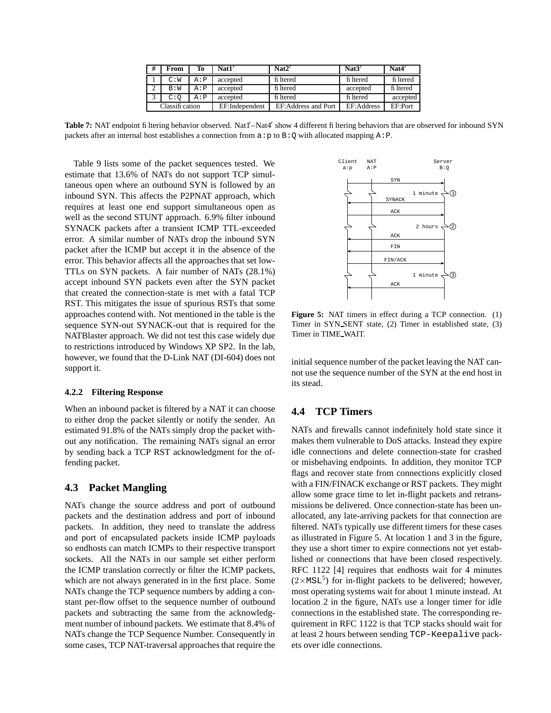| #              | From | Тo    | Nat1'          | Nat2'               | Nat3'      | Nat4'     |
|----------------|------|-------|----------------|---------------------|------------|-----------|
|                | C:W  | A : P | accepted       | fi ltered           | fi ltered  | fi ltered |
|                | B:W  | A : P | accepted       | fi ltered           | accepted   | fi ltered |
|                | C:O  | A : P | accepted       | fi ltered           | fi ltered  | accepted  |
| Classification |      |       | EF:Independent | EF:Address and Port | EF:Address | EF:Port   |

Table 7: NAT endpoint filtering behavior observed. Nat1'-Nat4' show 4 different filtering behaviors that are observed for inbound SYN packets after an internal host establishes a connection from  $a : p$  to  $B : O$  with allocated mapping A:P.

Table 9 lists some of the packet sequences tested. We estimate that 13.6% of NATs do not support TCP simultaneous open where an outbound SYN is followed by an inbound SYN. This affects the P2PNAT approach, which requires at least one end support simultaneous open as well as the second STUNT approach. 6.9% filter inbound SYNACK packets after a transient ICMP TTL-exceeded error. A similar number of NATs drop the inbound SYN packet after the ICMP but accept it in the absence of the error. This behavior affects all the approaches that set low-TTLs on SYN packets. A fair number of NATs (28.1%) accept inbound SYN packets even after the SYN packet that created the connection-state is met with a fatal TCP RST. This mitigates the issue of spurious RSTs that some approaches contend with. Not mentioned in the table is the sequence SYN-out SYNACK-out that is required for the NATBlaster approach. We did not test this case widely due to restrictions introduced by Windows XP SP2. In the lab, however, we found that the D-Link NAT (DI-604) does not support it.

#### **4.2.2 Filtering Response**

When an inbound packet is filtered by a NAT it can choose to either drop the packet silently or notify the sender. An estimated 91.8% of the NATs simply drop the packet without any notification. The remaining NATs signal an error by sending back a TCP RST acknowledgment for the offending packet.

### **4.3 Packet Mangling**

NATs change the source address and port of outbound packets and the destination address and port of inbound packets. In addition, they need to translate the address and port of encapsulated packets inside ICMP payloads so endhosts can match ICMPs to their respective transport sockets. All the NATs in our sample set either perform the ICMP translation correctly or filter the ICMP packets, which are not always generated in in the first place. Some NATs change the TCP sequence numbers by adding a constant per-flow offset to the sequence number of outbound packets and subtracting the same from the acknowledgment number of inbound packets. We estimate that 8.4% of NATs change the TCP Sequence Number. Consequently in some cases, TCP NAT-traversal approaches that require the



**Figure 5:** NAT timers in effect during a TCP connection. (1) Timer in SYN SENT state, (2) Timer in established state, (3) Timer in TIME WAIT.

initial sequence number of the packet leaving the NAT cannot use the sequence number of the SYN at the end host in its stead.

# **4.4 TCP Timers**

NATs and firewalls cannot indefinitely hold state since it makes them vulnerable to DoS attacks. Instead they expire idle connections and delete connection-state for crashed or misbehaving endpoints. In addition, they monitor TCP flags and recover state from connections explicitly closed with a FIN/FINACK exchange or RST packets. They might allow some grace time to let in-flight packets and retransmissions be delivered. Once connection-state has been unallocated, any late-arriving packets for that connection are filtered. NATs typically use different timers for these cases as illustrated in Figure 5. At location 1 and 3 in the figure, they use a short timer to expire connections not yet established or connections that have been closed respectively. RFC 1122 [4] requires that endhosts wait for 4 minutes  $(2\times\text{MSL}^5)$  for in-flight packets to be delivered; however, most operating systems wait for about 1 minute instead. At location 2 in the figure, NATs use a longer timer for idle connections in the established state. The corresponding requirement in RFC 1122 is that TCP stacks should wait for at least 2 hours between sending TCP-Keepalive packets over idle connections.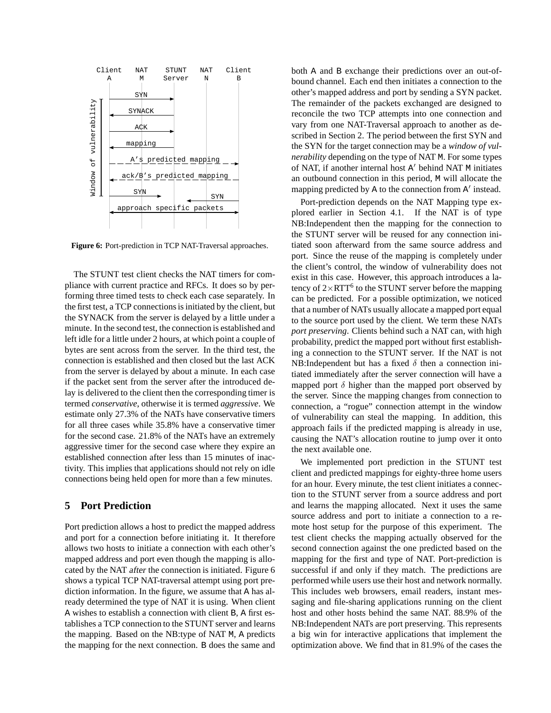

**Figure 6:** Port-prediction in TCP NAT-Traversal approaches.

The STUNT test client checks the NAT timers for compliance with current practice and RFCs. It does so by performing three timed tests to check each case separately. In the first test, a TCP connections is initiated by the client, but the SYNACK from the server is delayed by a little under a minute. In the second test, the connection is established and left idle for a little under 2 hours, at which point a couple of bytes are sent across from the server. In the third test, the connection is established and then closed but the last ACK from the server is delayed by about a minute. In each case if the packet sent from the server after the introduced delay is delivered to the client then the corresponding timer is termed *conservative*, otherwise it is termed *aggressive*. We estimate only 27.3% of the NATs have conservative timers for all three cases while 35.8% have a conservative timer for the second case. 21.8% of the NATs have an extremely aggressive timer for the second case where they expire an established connection after less than 15 minutes of inactivity. This implies that applications should not rely on idle connections being held open for more than a few minutes.

### **5 Port Prediction**

Port prediction allows a host to predict the mapped address and port for a connection before initiating it. It therefore allows two hosts to initiate a connection with each other's mapped address and port even though the mapping is allocated by the NAT after the connection is initiated. Figure 6 shows a typical TCP NAT-traversal attempt using port prediction information. In the figure, we assume that A has already determined the type of NAT it is using. When client A wishes to establish a connection with client B, A first establishes a TCP connection to the STUNT server and learns the mapping. Based on the NB:type of NAT M, A predicts the mapping for the next connection. B does the same and both A and B exchange their predictions over an out-ofbound channel. Each end then initiates a connection to the other's mapped address and port by sending a SYN packet. The remainder of the packets exchanged are designed to reconcile the two TCP attempts into one connection and vary from one NAT-Traversal approach to another as described in Section 2. The period between the first SYN and the SYN for the target connection may be a *window of vulnerability* depending on the type of NAT M. For some types of NAT, if another internal host A' behind NAT M initiates an outbound connection in this period, M will allocate the mapping predicted by A to the connection from A' instead.

Port-prediction depends on the NAT Mapping type explored earlier in Section 4.1. If the NAT is of type NB:Independent then the mapping for the connection to the STUNT server will be reused for any connection initiated soon afterward from the same source address and port. Since the reuse of the mapping is completely under the client's control, the window of vulnerability does not exist in this case. However, this approach introduces a latency of  $2\times RTT^6$  to the STUNT server before the mapping can be predicted. For a possible optimization, we noticed that a number of NATs usually allocate a mapped port equal to the source port used by the client. We term these NATs *port preserving*. Clients behind such a NAT can, with high probability, predict the mapped port without first establishing a connection to the STUNT server. If the NAT is not NB:Independent but has a fixed  $\delta$  then a connection initiated immediately after the server connection will have a mapped port  $\delta$  higher than the mapped port observed by the server. Since the mapping changes from connection to connection, a "rogue" connection attempt in the window of vulnerability can steal the mapping. In addition, this approach fails if the predicted mapping is already in use, causing the NAT's allocation routine to jump over it onto the next available one.

We implemented port prediction in the STUNT test client and predicted mappings for eighty-three home users for an hour. Every minute, the test client initiates a connection to the STUNT server from a source address and port and learns the mapping allocated. Next it uses the same source address and port to initiate a connection to a remote host setup for the purpose of this experiment. The test client checks the mapping actually observed for the second connection against the one predicted based on the mapping for the first and type of NAT. Port-prediction is successful if and only if they match. The predictions are performed while users use their host and network normally. This includes web browsers, email readers, instant messaging and file-sharing applications running on the client host and other hosts behind the same NAT. 88.9% of the NB:Independent NATs are port preserving. This represents a big win for interactive applications that implement the optimization above. We find that in 81.9% of the cases the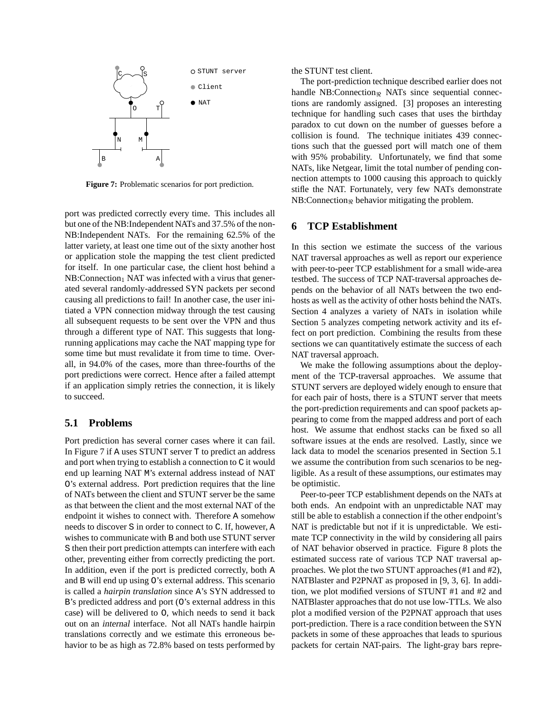

**Figure 7:** Problematic scenarios for port prediction.

port was predicted correctly every time. This includes all but one of the NB:Independent NATs and 37.5% of the non-NB:Independent NATs. For the remaining 62.5% of the latter variety, at least one time out of the sixty another host or application stole the mapping the test client predicted for itself. In one particular case, the client host behind a  $NB:Connection<sub>1</sub> NAT was infected with a virus that gener$ ated several randomly-addressed SYN packets per second causing all predictions to fail! In another case, the user initiated a VPN connection midway through the test causing all subsequent requests to be sent over the VPN and thus through a different type of NAT. This suggests that longrunning applications may cache the NAT mapping type for some time but must revalidate it from time to time. Overall, in 94.0% of the cases, more than three-fourths of the port predictions were correct. Hence after a failed attempt if an application simply retries the connection, it is likely to succeed.

### **5.1 Problems**

Port prediction has several corner cases where it can fail. In Figure 7 if A uses STUNT server T to predict an address and port when trying to establish a connection to C it would end up learning NAT M's external address instead of NAT O's external address. Port prediction requires that the line of NATs between the client and STUNT server be the same as that between the client and the most external NAT of the endpoint it wishes to connect with. Therefore A somehow needs to discover S in order to connect to C. If, however, A wishes to communicate with B and both use STUNT server S then their port prediction attempts can interfere with each other, preventing either from correctly predicting the port. In addition, even if the port is predicted correctly, both A and B will end up using O's external address. This scenario is called a *hairpin translation* since A's SYN addressed to B's predicted address and port (O's external address in this case) will be delivered to O, which needs to send it back out on an internal interface. Not all NATs handle hairpin translations correctly and we estimate this erroneous behavior to be as high as 72.8% based on tests performed by the STUNT test client.

The port-prediction technique described earlier does not handle NB: Connection<sub> $\Re$ </sub> NATs since sequential connections are randomly assigned. [3] proposes an interesting technique for handling such cases that uses the birthday paradox to cut down on the number of guesses before a collision is found. The technique initiates 439 connections such that the guessed port will match one of them with 95% probability. Unfortunately, we find that some NATs, like Netgear, limit the total number of pending connection attempts to 1000 causing this approach to quickly stifle the NAT. Fortunately, very few NATs demonstrate  $NB:Connection_{\Re}$  behavior mitigating the problem.

### **6 TCP Establishment**

In this section we estimate the success of the various NAT traversal approaches as well as report our experience with peer-to-peer TCP establishment for a small wide-area testbed. The success of TCP NAT-traversal approaches depends on the behavior of all NATs between the two endhosts as well as the activity of other hosts behind the NATs. Section 4 analyzes a variety of NATs in isolation while Section 5 analyzes competing network activity and its effect on port prediction. Combining the results from these sections we can quantitatively estimate the success of each NAT traversal approach.

We make the following assumptions about the deployment of the TCP-traversal approaches. We assume that STUNT servers are deployed widely enough to ensure that for each pair of hosts, there is a STUNT server that meets the port-prediction requirements and can spoof packets appearing to come from the mapped address and port of each host. We assume that endhost stacks can be fixed so all software issues at the ends are resolved. Lastly, since we lack data to model the scenarios presented in Section 5.1 we assume the contribution from such scenarios to be negligible. As a result of these assumptions, our estimates may be optimistic.

Peer-to-peer TCP establishment depends on the NATs at both ends. An endpoint with an unpredictable NAT may still be able to establish a connection if the other endpoint's NAT is predictable but not if it is unpredictable. We estimate TCP connectivity in the wild by considering all pairs of NAT behavior observed in practice. Figure 8 plots the estimated success rate of various TCP NAT traversal approaches. We plot the two STUNT approaches(#1 and #2), NATBlaster and P2PNAT as proposed in [9, 3, 6]. In addition, we plot modified versions of STUNT #1 and #2 and NATBlaster approaches that do not use low-TTLs. We also plot a modified version of the P2PNAT approach that uses port-prediction. There is a race condition between the SYN packets in some of these approaches that leads to spurious packets for certain NAT-pairs. The light-gray bars repre-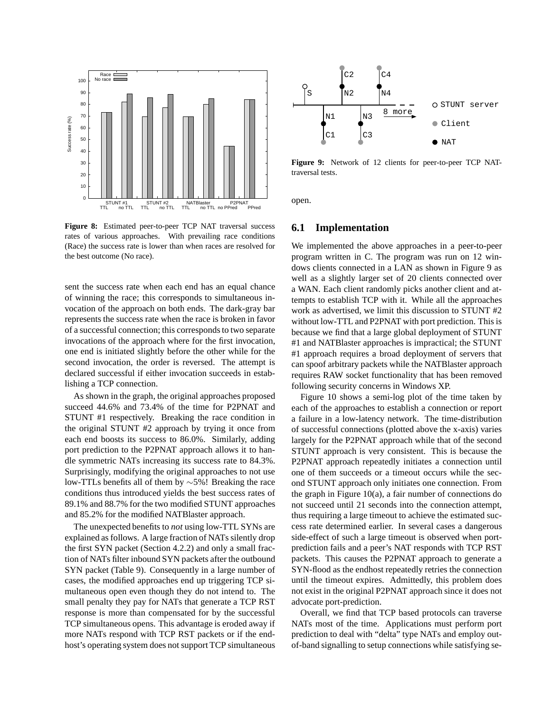

**Figure 8:** Estimated peer-to-peer TCP NAT traversal success rates of various approaches. With prevailing race conditions (Race) the success rate is lower than when races are resolved for the best outcome (No race).

sent the success rate when each end has an equal chance of winning the race; this corresponds to simultaneous invocation of the approach on both ends. The dark-gray bar represents the success rate when the race is broken in favor of a successful connection; this corresponds to two separate invocations of the approach where for the first invocation, one end is initiated slightly before the other while for the second invocation, the order is reversed. The attempt is declared successful if either invocation succeeds in establishing a TCP connection.

As shown in the graph, the original approaches proposed succeed 44.6% and 73.4% of the time for P2PNAT and STUNT #1 respectively. Breaking the race condition in the original STUNT #2 approach by trying it once from each end boosts its success to 86.0%. Similarly, adding port prediction to the P2PNAT approach allows it to handle symmetric NATs increasing its success rate to 84.3%. Surprisingly, modifying the original approaches to not use low-TTLs benefits all of them by ∼5%! Breaking the race conditions thus introduced yields the best success rates of 89.1% and 88.7% for the two modified STUNT approaches and 85.2% for the modified NATBlaster approach.

The unexpected benefits to *not* using low-TTL SYNs are explained as follows. A large fraction of NATs silently drop the first SYN packet (Section 4.2.2) and only a small fraction of NATs filter inbound SYN packets after the outbound SYN packet (Table 9). Consequently in a large number of cases, the modified approaches end up triggering TCP simultaneous open even though they do not intend to. The small penalty they pay for NATs that generate a TCP RST response is more than compensated for by the successful TCP simultaneous opens. This advantage is eroded away if more NATs respond with TCP RST packets or if the endhost's operating system does not support TCP simultaneous



**Figure 9:** Network of 12 clients for peer-to-peer TCP NATtraversal tests.

open.

### **6.1 Implementation**

We implemented the above approaches in a peer-to-peer program written in C. The program was run on 12 windows clients connected in a LAN as shown in Figure 9 as well as a slightly larger set of 20 clients connected over a WAN. Each client randomly picks another client and attempts to establish TCP with it. While all the approaches work as advertised, we limit this discussion to STUNT #2 without low-TTL and P2PNAT with port prediction. This is because we find that a large global deployment of STUNT #1 and NATBlaster approaches is impractical; the STUNT #1 approach requires a broad deployment of servers that can spoof arbitrary packets while the NATBlaster approach requires RAW socket functionality that has been removed following security concerns in Windows XP.

Figure 10 shows a semi-log plot of the time taken by each of the approaches to establish a connection or report a failure in a low-latency network. The time-distribution of successful connections (plotted above the x-axis) varies largely for the P2PNAT approach while that of the second STUNT approach is very consistent. This is because the P2PNAT approach repeatedly initiates a connection until one of them succeeds or a timeout occurs while the second STUNT approach only initiates one connection. From the graph in Figure 10(a), a fair number of connections do not succeed until 21 seconds into the connection attempt, thus requiring a large timeout to achieve the estimated success rate determined earlier. In several cases a dangerous side-effect of such a large timeout is observed when portprediction fails and a peer's NAT responds with TCP RST packets. This causes the P2PNAT approach to generate a SYN-flood as the endhost repeatedly retries the connection until the timeout expires. Admittedly, this problem does not exist in the original P2PNAT approach since it does not advocate port-prediction.

Overall, we find that TCP based protocols can traverse NATs most of the time. Applications must perform port prediction to deal with "delta" type NATs and employ outof-band signalling to setup connections while satisfying se-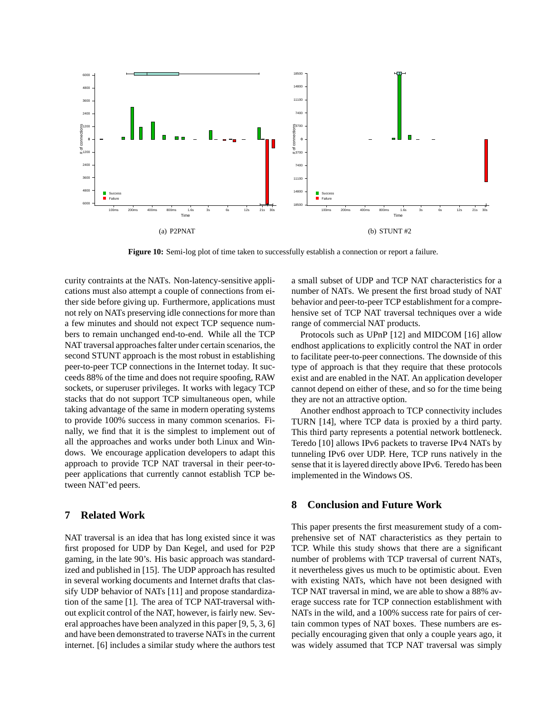

**Figure 10:** Semi-log plot of time taken to successfully establish a connection or report a failure.

curity contraints at the NATs. Non-latency-sensitive applications must also attempt a couple of connections from either side before giving up. Furthermore, applications must not rely on NATs preserving idle connections for more than a few minutes and should not expect TCP sequence numbers to remain unchanged end-to-end. While all the TCP NAT traversal approaches falter under certain scenarios, the second STUNT approach is the most robust in establishing peer-to-peer TCP connections in the Internet today. It succeeds 88% of the time and does not require spoofing, RAW sockets, or superuser privileges. It works with legacy TCP stacks that do not support TCP simultaneous open, while taking advantage of the same in modern operating systems to provide 100% success in many common scenarios. Finally, we find that it is the simplest to implement out of all the approaches and works under both Linux and Windows. We encourage application developers to adapt this approach to provide TCP NAT traversal in their peer-topeer applications that currently cannot establish TCP between NAT'ed peers.

# **7 Related Work**

NAT traversal is an idea that has long existed since it was first proposed for UDP by Dan Kegel, and used for P2P gaming, in the late 90's. His basic approach was standardized and published in [15]. The UDP approach has resulted in several working documents and Internet drafts that classify UDP behavior of NATs [11] and propose standardization of the same [1]. The area of TCP NAT-traversal without explicit control of the NAT, however, is fairly new. Several approaches have been analyzed in this paper [9, 5, 3, 6] and have been demonstrated to traverse NATs in the current internet. [6] includes a similar study where the authors test

a small subset of UDP and TCP NAT characteristics for a number of NATs. We present the first broad study of NAT behavior and peer-to-peer TCP establishment for a comprehensive set of TCP NAT traversal techniques over a wide range of commercial NAT products.

Protocols such as UPnP [12] and MIDCOM [16] allow endhost applications to explicitly control the NAT in order to facilitate peer-to-peer connections. The downside of this type of approach is that they require that these protocols exist and are enabled in the NAT. An application developer cannot depend on either of these, and so for the time being they are not an attractive option.

Another endhost approach to TCP connectivity includes TURN [14], where TCP data is proxied by a third party. This third party represents a potential network bottleneck. Teredo [10] allows IPv6 packets to traverse IPv4 NATs by tunneling IPv6 over UDP. Here, TCP runs natively in the sense that it is layered directly above IPv6. Teredo has been implemented in the Windows OS.

# **8 Conclusion and Future Work**

This paper presents the first measurement study of a comprehensive set of NAT characteristics as they pertain to TCP. While this study shows that there are a significant number of problems with TCP traversal of current NATs, it nevertheless gives us much to be optimistic about. Even with existing NATs, which have not been designed with TCP NAT traversal in mind, we are able to show a 88% average success rate for TCP connection establishment with NATs in the wild, and a 100% success rate for pairs of certain common types of NAT boxes. These numbers are especially encouraging given that only a couple years ago, it was widely assumed that TCP NAT traversal was simply